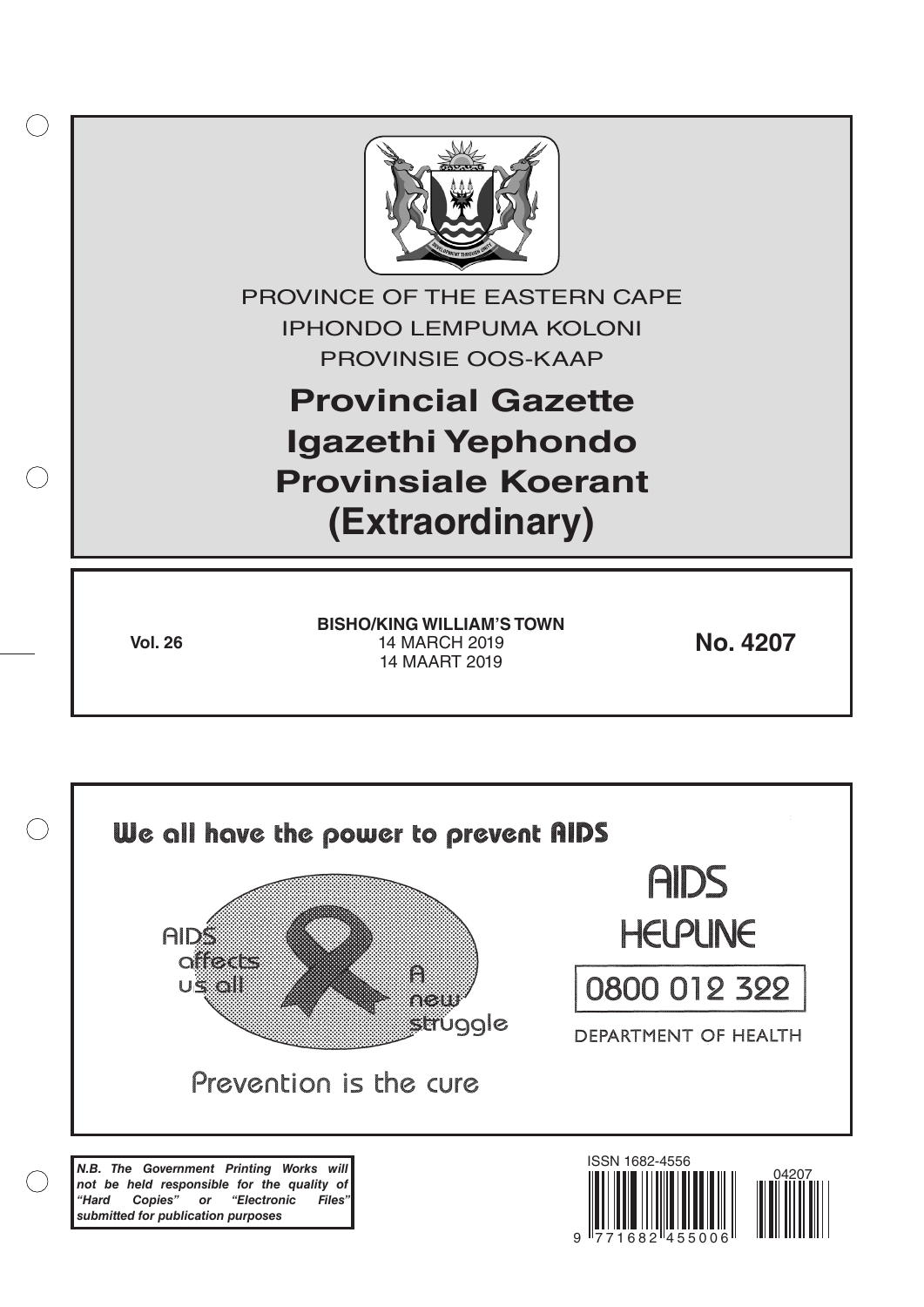

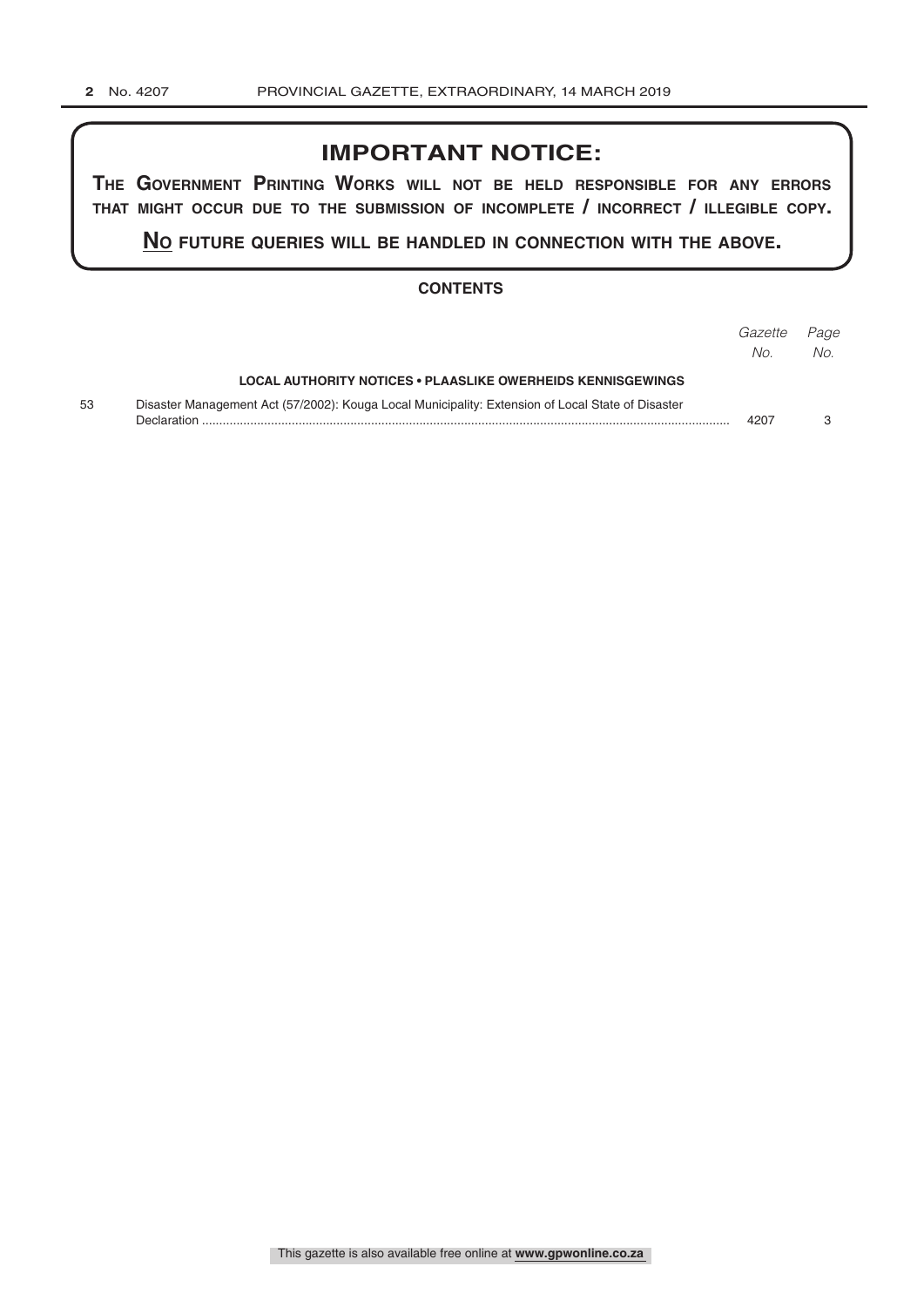## **IMPORTANT NOTICE:**

**The GovernmenT PrinTinG Works Will noT be held resPonsible for any errors ThaT miGhT occur due To The submission of incomPleTe / incorrecT / illeGible coPy.**

**no fuTure queries Will be handled in connecTion WiTh The above.**

#### **CONTENTS**

|    |                                                                                                                  | Gazette<br>No. | Page<br>No. |
|----|------------------------------------------------------------------------------------------------------------------|----------------|-------------|
|    | <b>LOCAL AUTHORITY NOTICES • PLAASLIKE OWERHEIDS KENNISGEWINGS</b>                                               |                |             |
| 53 | Disaster Management Act (57/2002): Kouga Local Municipality: Extension of Local State of Disaster<br>Declaration | 4207           |             |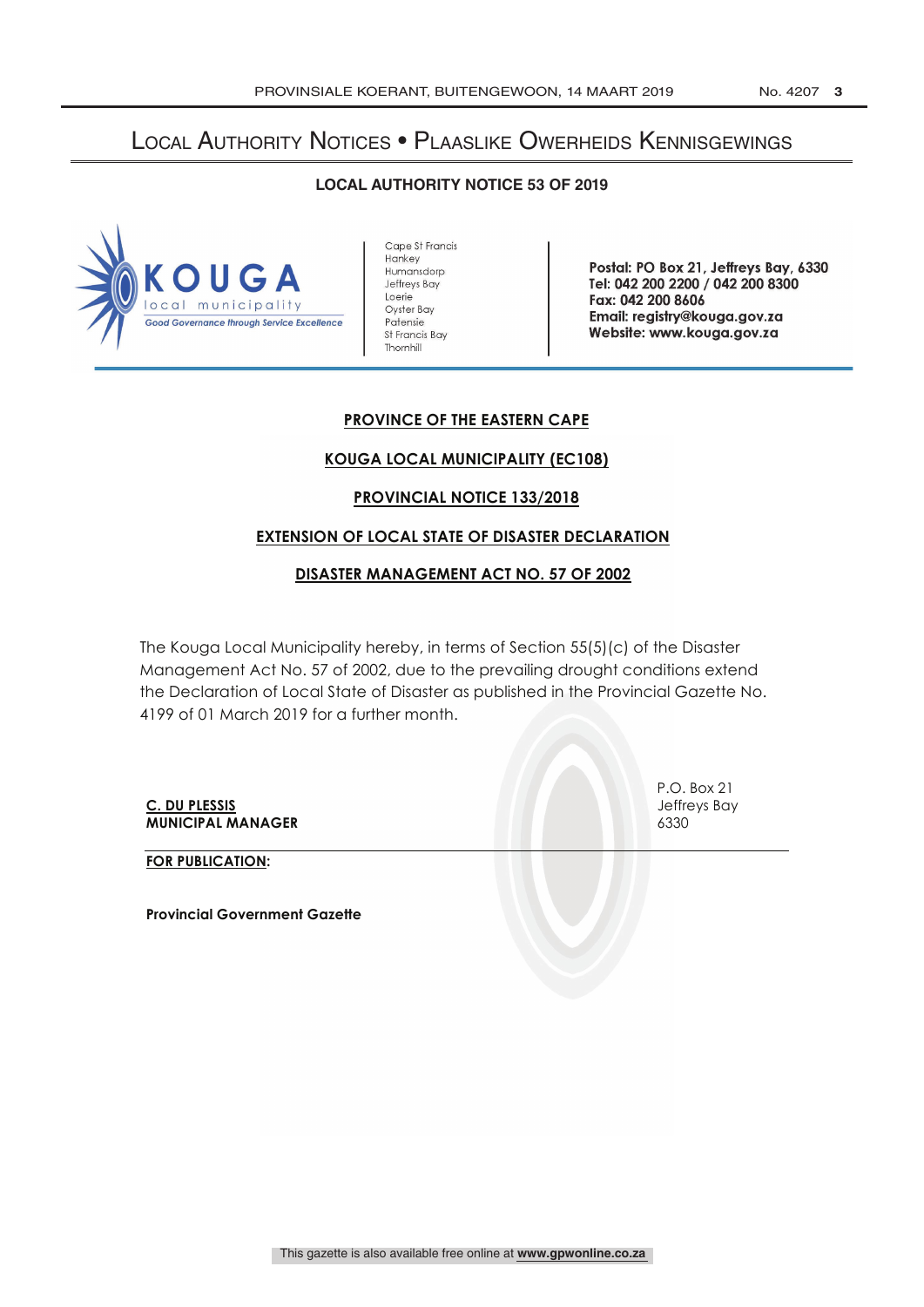# Local Authority Notices • Plaaslike Owerheids Kennisgewings

### **LOCAL AUTHORITY NOTICE 53 OF 2019**



Cape St Francis Hankey Humansdorp Jeffreys Bay Loerie Oyster Bay Patensie St Francis Bay Thornhill

Postal: PO Box 21, Jeffreys Bay, 6330 Tel: 042 200 2200 / 042 200 8300 Fax: 042 200 8606 Email: registry @kouga.gov.za Website: www.kouga.gov.za

## **PROVINCE OF THE EASTERN CAPE**

## **KOUGA LOCAL MUNICIPALITY (EC108)**

### **PROVINCIAL NOTICE 133/2018**

### **EXTENSION OF LOCAL STATE OF DISASTER DECLARATION**

### **DISASTER MANAGEMENT ACT NO. 57 OF 2002**

The Kouga Local Municipality hereby, in terms of Section 55(5)(c) of the Disaster Management Act No. 57 of 2002, due to the prevailing drought conditions extend the Declaration of Local State of Disaster as published in the Provincial Gazette No. 4199 of 01 March 2019 for a further month.

**C. DU PLESSIS** Jeffreys Bay **MUNICIPAL MANAGER** 6330

P.O. Box 21

**FOR PUBLICATION:**

**Provincial Government Gazette**